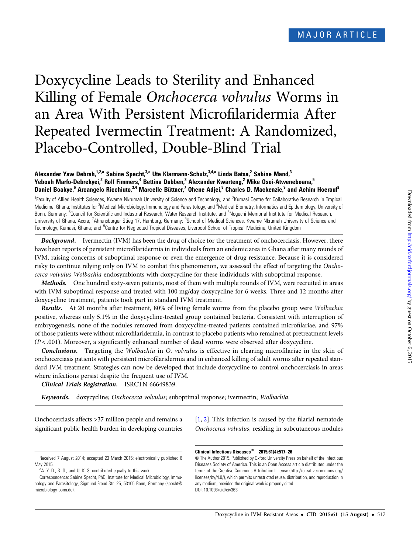# Doxycycline Leads to Sterility and Enhanced Killing of Female Onchocerca volvulus Worms in an Area With Persistent Microfilaridermia After Repeated Ivermectin Treatment: A Randomized, Placebo-Controlled, Double-Blind Trial

## Alexander Yaw Debrah,<sup>1,2,a</sup> Sabine Specht,<sup>3,a</sup> Ute Klarmann-Schulz,<sup>3,4,a</sup> Linda Batsa,<sup>2</sup> Sabine Mand,<sup>3</sup> Yeboah Marfo-Debrekyei,<sup>2</sup> Rolf Fimmers,<sup>4</sup> Bettina Dubben,<sup>3</sup> Alexander Kwarteng,<sup>2</sup> Mike Osei-Atweneboana,<sup>5</sup> Daniel Boakye,<sup>6</sup> Arcangelo Ricchiuto,<sup>3,4</sup> Marcelle Büttner,<sup>7</sup> Ohene Adjei,<sup>8</sup> Charles D. Mackenzie,<sup>9</sup> and Achim Hoerauf<sup>3</sup>

<sup>1</sup> Faculty of Allied Health Sciences, Kwame Nkrumah University of Science and Technology, and <sup>2</sup> Kumasi Centre for Collaborative Research in Tropical Medicine, Ghana; Institutes for <sup>3</sup>Medical Microbiology, Immunology and Parasitology, and <sup>4</sup>Medical Biometry, Informatics and Epidemiology, University of Bonn, Germany; <sup>5</sup>Council for Scientific and Industrial Research, Water Research Institute, and <sup>6</sup>Noguchi Memorial Institute for Medical Research, University of Ghana, Accra; <sup>7</sup>Ahrensburger Stieg 17, Hamburg, Germany; <sup>8</sup>School of Medical Sciences, Kwame Nkrumah University of Science and Technology, Kumasi, Ghana; and <sup>9</sup>Centre for Neglected Tropical Diseases, Liverpool School of Tropical Medicine, United Kingdom

Background. Ivermectin (IVM) has been the drug of choice for the treatment of onchocerciasis. However, there have been reports of persistent microfilaridermia in individuals from an endemic area in Ghana after many rounds of IVM, raising concerns of suboptimal response or even the emergence of drug resistance. Because it is considered risky to continue relying only on IVM to combat this phenomenon, we assessed the effect of targeting the Onchocerca volvulus Wolbachia endosymbionts with doxycycline for these individuals with suboptimal response.

Methods. One hundred sixty-seven patients, most of them with multiple rounds of IVM, were recruited in areas with IVM suboptimal response and treated with 100 mg/day doxycycline for 6 weeks. Three and 12 months after doxycycline treatment, patients took part in standard IVM treatment.

Results. At 20 months after treatment, 80% of living female worms from the placebo group were Wolbachia positive, whereas only 5.1% in the doxycycline-treated group contained bacteria. Consistent with interruption of embryogenesis, none of the nodules removed from doxycycline-treated patients contained microfilariae, and 97% of those patients were without microfilaridermia, in contrast to placebo patients who remained at pretreatment levels  $(P < .001)$ . Moreover, a significantly enhanced number of dead worms were observed after doxycycline.

Conclusions. Targeting the Wolbachia in O. volvulus is effective in clearing microfilariae in the skin of onchocerciasis patients with persistent microfilaridermia and in enhanced killing of adult worms after repeated standard IVM treatment. Strategies can now be developed that include doxycycline to control onchocerciasis in areas where infections persist despite the frequent use of IVM.

Clinical Trials Registration. ISRCTN 66649839.

Keywords. doxycycline; Onchocerca volvulus; suboptimal response; ivermectin; Wolbachia.

Onchocerciasis affects >37 million people and remains a significant public health burden in developing countries [\[1,](#page-8-0) [2\]](#page-8-0). This infection is caused by the filarial nematode Onchocerca volvulus, residing in subcutaneous nodules

© The Author 2015. Published by Oxford University Press on behalf of the Infectious Diseases Society of America. This is an Open Access article distributed under the terms of the Creative Commons Attribution License ([http://creativecommons.org/](http://creativecommons.org/licenses/by/4.0/) [licenses/by/4.0/\)](http://creativecommons.org/licenses/by/4.0/), which permits unrestricted reuse, distribution, and reproduction in any medium, provided the original work is properly cited. DOI: 10.1093/cid/civ363

Received 7 August 2014; accepted 23 March 2015; electronically published 6 May 2015.

<sup>&</sup>lt;sup>a</sup>A. Y. D., S. S., and U. K.-S. contributed equally to this work.

Correspondence: Sabine Specht, PhD, Institute for Medical Microbiology, Immunology and Parasitology, Sigmund-Freud-Str. 25, 53105 Bonn, Germany ([specht@](mailto:specht@microbiology-bonn.de) [microbiology-bonn.de\)](mailto:specht@microbiology-bonn.de).

Clinical Infectious Diseases® 2015;61(4):517–26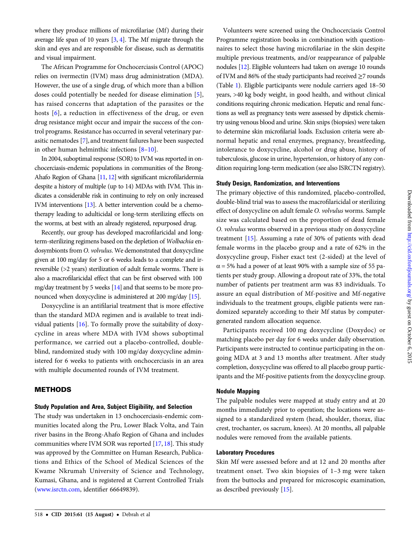where they produce millions of microfilariae (Mf) during their average life span of 10 years [\[3,](#page-9-0) [4](#page-9-0)]. The Mf migrate through the skin and eyes and are responsible for disease, such as dermatitis and visual impairment.

The African Programme for Onchocerciasis Control (APOC) relies on ivermectin (IVM) mass drug administration (MDA). However, the use of a single drug, of which more than a billion doses could potentially be needed for disease elimination [[5\]](#page-9-0), has raised concerns that adaptation of the parasites or the hosts [[6](#page-9-0)], a reduction in effectiveness of the drug, or even drug resistance might occur and impair the success of the control programs. Resistance has occurred in several veterinary parasitic nematodes [[7](#page-9-0)], and treatment failures have been suspected in other human helminthic infections [\[8](#page-9-0)–[10\]](#page-9-0).

In 2004, suboptimal response (SOR) to IVM was reported in onchocerciasis-endemic populations in communities of the Brong-Ahafo Region of Ghana [[11](#page-9-0), [12\]](#page-9-0) with significant microfilaridermia despite a history of multiple (up to 14) MDAs with IVM. This indicates a considerable risk in continuing to rely on only increased IVM interventions [[13](#page-9-0)]. A better intervention could be a chemotherapy leading to adulticidal or long-term sterilizing effects on the worms, at best with an already registered, repurposed drug.

Recently, our group has developed macrofilaricidal and longterm-sterilizing regimens based on the depletion of Wolbachia endosymbionts from O. volvulus. We demonstrated that doxycycline given at 100 mg/day for 5 or 6 weeks leads to a complete and irreversible (>2 years) sterilization of adult female worms. There is also a macrofilaricidal effect that can be first observed with 100 mg/day treatment by 5 weeks [[14\]](#page-9-0) and that seems to be more pronounced when doxycycline is administered at 200 mg/day [\[15\]](#page-9-0).

Doxycycline is an antifilarial treatment that is more effective than the standard MDA regimen and is available to treat individual patients [\[16](#page-9-0)]. To formally prove the suitability of doxycycline in areas where MDA with IVM shows suboptimal performance, we carried out a placebo-controlled, doubleblind, randomized study with 100 mg/day doxycycline administered for 6 weeks to patients with onchocerciasis in an area with multiple documented rounds of IVM treatment.

# METHODS

#### Study Population and Area, Subject Eligibility, and Selection

The study was undertaken in 13 onchocerciasis-endemic communities located along the Pru, Lower Black Volta, and Tain river basins in the Brong-Ahafo Region of Ghana and includes communities where IVM SOR was reported [\[17](#page-9-0), [18\]](#page-9-0). This study was approved by the Committee on Human Research, Publications and Ethics of the School of Medical Sciences of the Kwame Nkrumah University of Science and Technology, Kumasi, Ghana, and is registered at Current Controlled Trials [\(www.isrctn.com](www.isrctn.com), identifier 66649839).

Volunteers were screened using the Onchocerciasis Control Programme registration books in combination with questionnaires to select those having microfilariae in the skin despite multiple previous treatments, and/or reappearance of palpable nodules [\[12](#page-9-0)]. Eligible volunteers had taken on average 10 rounds of IVM and 86% of the study participants had received ≥7 rounds (Table [1](#page-2-0)). Eligible participants were nodule carriers aged 18–50 years, >40 kg body weight, in good health, and without clinical conditions requiring chronic medication. Hepatic and renal functions as well as pregnancy tests were assessed by dipstick chemistry using venous blood and urine. Skin snips (biopsies) were taken to determine skin microfilarial loads. Exclusion criteria were abnormal hepatic and renal enzymes, pregnancy, breastfeeding, intolerance to doxycycline, alcohol or drug abuse, history of tuberculosis, glucose in urine, hypertension, or history of any condition requiring long-term medication (see also ISRCTN registry).

#### Study Design, Randomization, and Interventions

The primary objective of this randomized, placebo-controlled, double-blind trial was to assess the macrofilaricidal or sterilizing effect of doxycycline on adult female O. volvulus worms. Sample size was calculated based on the proportion of dead female O. volvulus worms observed in a previous study on doxycycline treatment [[15\]](#page-9-0). Assuming a rate of 30% of patients with dead female worms in the placebo group and a rate of 62% in the doxycycline group, Fisher exact test (2-sided) at the level of  $\alpha$  = 5% had a power of at least 90% with a sample size of 55 patients per study group. Allowing a dropout rate of 33%, the total number of patients per treatment arm was 83 individuals. To assure an equal distribution of Mf-positive and Mf-negative individuals to the treatment groups, eligible patients were randomized separately according to their Mf status by computergenerated random allocation sequence.

Participants received 100 mg doxycycline (Doxydoc) or matching placebo per day for 6 weeks under daily observation. Participants were instructed to continue participating in the ongoing MDA at 3 and 13 months after treatment. After study completion, doxycycline was offered to all placebo group participants and the Mf-positive patients from the doxycycline group.

# Nodule Mapping

The palpable nodules were mapped at study entry and at 20 months immediately prior to operation; the locations were assigned to a standardized system (head, shoulder, thorax, iliac crest, trochanter, os sacrum, knees). At 20 months, all palpable nodules were removed from the available patients.

## Laboratory Procedures

Skin Mf were assessed before and at 12 and 20 months after treatment onset. Two skin biopsies of 1–3 mg were taken from the buttocks and prepared for microscopic examination, as described previously [\[15](#page-9-0)].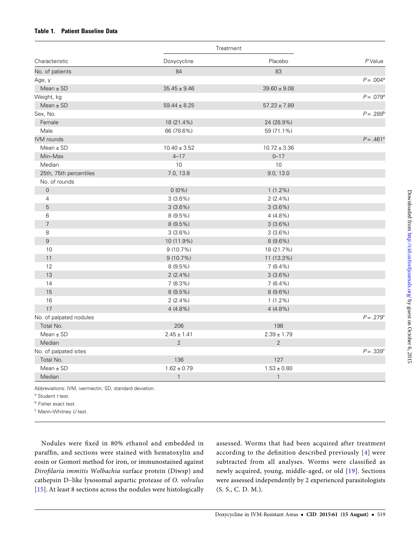## <span id="page-2-0"></span>Table 1. Patient Baseline Data

|                         |                  | Treatment        |                    |  |
|-------------------------|------------------|------------------|--------------------|--|
| Characteristic          | Doxycycline      | Placebo          | $P$ Value          |  |
| No. of patients         | 84               | 83               |                    |  |
| Age, y                  |                  |                  | $P = .004^{\circ}$ |  |
| $Mean \pm SD$           | $35.45 \pm 9.46$ | $39.60 \pm 9.08$ |                    |  |
| Weight, kg              |                  |                  | $P = .079^{\circ}$ |  |
| Mean $\pm$ SD           | $59.44 \pm 8.25$ | $57.23 \pm 7.89$ |                    |  |
| Sex, No.                |                  |                  | $P = .289^{\rm b}$ |  |
| Female                  | 18 (21.4%)       | 24 (28.9%)       |                    |  |
| Male                    | 66 (78.6%)       | 59 (71.1%)       |                    |  |
| IVM rounds              |                  |                  | $P = .461^{\circ}$ |  |
| $Mean \pm SD$           | $10.40 \pm 3.52$ | $10.72 \pm 3.36$ |                    |  |
| Min-Max                 | $4 - 17$         | $0 - 17$         |                    |  |
| Median                  | 10               | 10               |                    |  |
| 25th, 75th percentiles  | 7.0, 13.8        | 9.0, 13.0        |                    |  |
| No. of rounds           |                  |                  |                    |  |
| $\mathsf{O}\xspace$     | $0(0\%)$         | $1(1.2\%)$       |                    |  |
| 4                       | 3(3.6%)          | $2(2.4\%)$       |                    |  |
| 5                       | 3(3.6%)          | 3(3.6%)          |                    |  |
| 6                       | $8(9.5\%)$       | $4(4.8\%)$       |                    |  |
| $\overline{7}$          | $8(9.5\%)$       | 3(3.6%)          |                    |  |
| 8                       | $3(3.6\%)$       | $3(3.6\%)$       |                    |  |
| $\,9$                   | 10 (11.9%)       | $8(9.6\%)$       |                    |  |
| 10                      | $9(10.7\%)$      | 18 (21.7%)       |                    |  |
| 11                      | 9(10.7%)         | 11 (13.3%)       |                    |  |
| 12                      | $8(9.5\%)$       | $7(8.4\%)$       |                    |  |
| 13                      | $2(2.4\%)$       | 3(3.6%)          |                    |  |
| 14                      | 7(8.3%)          | $7(8.4\%)$       |                    |  |
| 15                      | $8(9.5\%)$       | $8(9.6\%)$       |                    |  |
| 16                      | $2(2.4\%)$       | $1(1.2\%)$       |                    |  |
| 17                      | $4(4.8\%)$       | 4 (4.8%)         |                    |  |
| No. of palpated nodules |                  |                  | $P = .279^{\circ}$ |  |
| Total No.               | 206              | 198              |                    |  |
| $Mean \pm SD$           | $2.45 \pm 1.41$  | $2.39 \pm 1.79$  |                    |  |
| Median                  | $\overline{2}$   | $\overline{2}$   |                    |  |
| No. of palpated sites   |                  |                  | $P = .339^{\circ}$ |  |
| Total No.               | 136              | 127              |                    |  |
| $Mean \pm SD$           | $1.62 \pm 0.79$  | $1.53 \pm 0.80$  |                    |  |
| Median                  | $\mathbf{1}$     | $\mathbf{1}$     |                    |  |

Abbreviations: IVM, ivermectin; SD, standard deviation.

 $a$  Student  $t$  test.

**b** Fisher exact test.

 $c$  Mann–Whitney  $U$  test.

Nodules were fixed in 80% ethanol and embedded in paraffin, and sections were stained with hematoxylin and eosin or Gomori method for iron, or immunostained against Dirofilaria immitis Wolbachia surface protein (Diwsp) and cathepsin D–like lysosomal aspartic protease of O. volvulus [\[15\]](#page-9-0). At least 8 sections across the nodules were histologically assessed. Worms that had been acquired after treatment according to the definition described previously [[4](#page-9-0)] were subtracted from all analyses. Worms were classified as newly acquired, young, middle-aged, or old [\[19](#page-9-0)]. Sections were assessed independently by 2 experienced parasitologists (S. S., C. D. M.).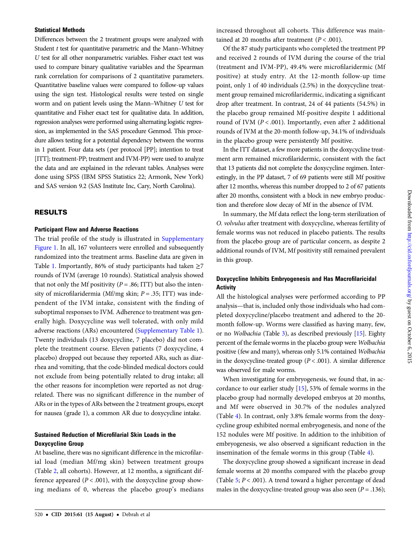## Statistical Methods

Differences between the 2 treatment groups were analyzed with Student  $t$  test for quantitative parametric and the Mann–Whitney U test for all other nonparametric variables. Fisher exact test was used to compare binary qualitative variables and the Spearman rank correlation for comparisons of 2 quantitative parameters. Quantitative baseline values were compared to follow-up values using the sign test. Histological results were tested on single worm and on patient levels using the Mann–Whitney U test for quantitative and Fisher exact test for qualitative data. In addition, regression analyses were performed using alternating logistic regression, as implemented in the SAS procedure Genmod. This procedure allows testing for a potential dependency between the worms in 1 patient. Four data sets (per protocol [PP]; intention to treat [ITT]; treatment-PP; treatment and IVM-PP) were used to analyze the data and are explained in the relevant tables. Analyses were done using SPSS (IBM SPSS Statistics 22; Armonk, New York) and SAS version 9.2 (SAS Institute Inc, Cary, North Carolina).

## RESULTS

## Participant Flow and Adverse Reactions

The trial profile of the study is illustrated in [Supplementary](http://cid.oxfordjournals.org/lookup/suppl/doi:10.1093/cid/civ363/-/DC1) [Figure 1](http://cid.oxfordjournals.org/lookup/suppl/doi:10.1093/cid/civ363/-/DC1). In all, 167 volunteers were enrolled and subsequently randomized into the treatment arms. Baseline data are given in Table [1.](#page-2-0) Importantly, 86% of study participants had taken  $\geq$ 7 rounds of IVM (average 10 rounds). Statistical analysis showed that not only the Mf positivity ( $P = .86$ ; ITT) but also the intensity of microfilaridermia (Mf/mg skin;  $P = .35$ ; ITT) was independent of the IVM intake, consistent with the finding of suboptimal responses to IVM. Adherence to treatment was generally high. Doxycycline was well tolerated, with only mild adverse reactions (ARs) encountered [\(Supplementary Table 1\)](http://cid.oxfordjournals.org/lookup/suppl/doi:10.1093/cid/civ363/-/DC1). Twenty individuals (13 doxycycline, 7 placebo) did not complete the treatment course. Eleven patients (7 doxycycline, 4 placebo) dropped out because they reported ARs, such as diarrhea and vomiting, that the code-blinded medical doctors could not exclude from being potentially related to drug intake; all the other reasons for incompletion were reported as not drugrelated. There was no significant difference in the number of ARs or in the types of ARs between the 2 treatment groups, except for nausea (grade 1), a common AR due to doxycycline intake.

## Sustained Reduction of Microfilarial Skin Loads in the Doxycycline Group

At baseline, there was no significant difference in the microfilarial load (median Mf/mg skin) between treatment groups (Table [2](#page-4-0), all cohorts). However, at 12 months, a significant difference appeared  $(P < .001)$ , with the doxycycline group showing medians of 0, whereas the placebo group's medians

Of the 87 study participants who completed the treatment PP and received 2 rounds of IVM during the course of the trial (treatment and IVM-PP), 49.4% were microfilaridermic (Mf positive) at study entry. At the 12-month follow-up time point, only 1 of 40 individuals (2.5%) in the doxycycline treatment group remained microfilaridermic, indicating a significant drop after treatment. In contrast, 24 of 44 patients (54.5%) in the placebo group remained Mf-positive despite 1 additional round of IVM ( $P < .001$ ). Importantly, even after 2 additional rounds of IVM at the 20-month follow-up, 34.1% of individuals in the placebo group were persistently Mf positive.

In the ITT dataset, a few more patients in the doxycycline treatment arm remained microfilaridermic, consistent with the fact that 13 patients did not complete the doxycycline regimen. Interestingly, in the PP dataset, 7 of 69 patients were still Mf positive after 12 months, whereas this number dropped to 2 of 67 patients after 20 months, consistent with a block in new embryo production and therefore slow decay of Mf in the absence of IVM.

In summary, the Mf data reflect the long-term sterilization of O. volvulus after treatment with doxycycline, whereas fertility of female worms was not reduced in placebo patients. The results from the placebo group are of particular concern, as despite 2 additional rounds of IVM, Mf positivity still remained prevalent in this group.

# Doxycycline Inhibits Embryogenesis and Has Macrofilaricidal **Activity**

All the histological analyses were performed according to PP analysis—that is, included only those individuals who had completed doxycycline/placebo treatment and adhered to the 20 month follow-up. Worms were classified as having many, few, or no Wolbachia (Table [3\)](#page-5-0), as described previously [[15\]](#page-9-0). Eighty percent of the female worms in the placebo group were Wolbachia positive (few and many), whereas only 5.1% contained Wolbachia in the doxycycline-treated group ( $P < .001$ ). A similar difference was observed for male worms.

When investigating for embryogenesis, we found that, in accordance to our earlier study [[15\]](#page-9-0), 53% of female worms in the placebo group had normally developed embryos at 20 months, and Mf were observed in 30.7% of the nodules analyzed (Table [4](#page-5-0)). In contrast, only 3.8% female worms from the doxycycline group exhibited normal embryogenesis, and none of the 152 nodules were Mf positive. In addition to the inhibition of embryogenesis, we also observed a significant reduction in the insemination of the female worms in this group (Table [4\)](#page-5-0).

The doxycycline group showed a significant increase in dead female worms at 20 months compared with the placebo group (Table [5](#page-6-0);  $P < .001$ ). A trend toward a higher percentage of dead males in the doxycycline-treated group was also seen ( $P = .136$ );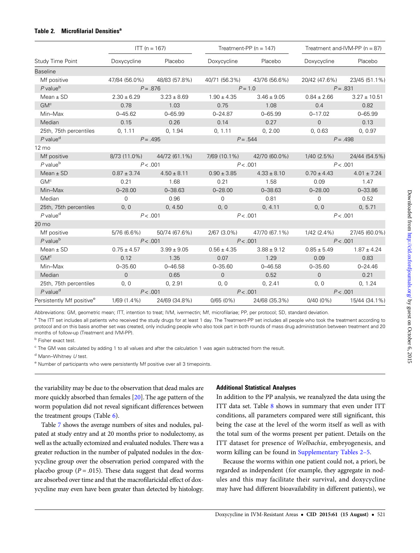## <span id="page-4-0"></span>Table 2. Microfilarial Densities<sup>a</sup>

|                                       |                 | $ITT (n = 167)$ |                 | Treatment-PP ( $n = 147$ ) | Treatment and-IVM-PP ( $n = 87$ ) |                  |  |
|---------------------------------------|-----------------|-----------------|-----------------|----------------------------|-----------------------------------|------------------|--|
| Study Time Point                      | Doxycycline     | Placebo         | Doxycycline     | Placebo                    | Doxycycline                       | Placebo          |  |
| <b>Baseline</b>                       |                 |                 |                 |                            |                                   |                  |  |
| Mf positive                           | 47/84 (56.0%)   | 48/83 (57.8%)   | 40/71 (56.3%)   | 43/76 (56.6%)              | 20/42 (47.6%)                     | 23/45 (51.1%)    |  |
| $P$ value <sup>b</sup>                |                 | $P = .876$      |                 | $P = 1.0$                  |                                   | $P = .831$       |  |
| Mean $\pm$ SD                         | $2.30 \pm 6.29$ | $3.23 \pm 8.69$ | $1.90 \pm 4.35$ | $3.46 \pm 9.05$            | $0.84 \pm 2.66$                   | $3.27 \pm 10.51$ |  |
| GM <sup>c</sup>                       | 0.78            | 1.03            | 0.75            | 1.08                       | 0.4                               | 0.82             |  |
| Min-Max                               | $0 - 45.62$     | $0 - 65.99$     | $0 - 24.87$     | $0 - 65.99$                | $0 - 17.02$                       | $0 - 65.99$      |  |
| Median                                | 0.15            | 0.26            | 0.14            | 0.27                       | $\overline{0}$                    | 0.13             |  |
| 25th, 75th percentiles                | 0, 1.11         | 0, 1.94         | 0, 1.11         | 0, 2.00                    | 0, 0.63                           | 0, 0.97          |  |
| $P$ value <sup>d</sup>                |                 | $P = .495$      |                 | $P = .544$                 |                                   | $P = .498$       |  |
| 12 mo                                 |                 |                 |                 |                            |                                   |                  |  |
| Mf positive                           | 8/73 (11.0%)    | 44/72 (61.1%)   | 7/69 (10.1%)    | 42/70 (60.0%)              | $1/40$ (2.5%)                     | 24/44 (54.5%)    |  |
| $P$ value $b$                         |                 | P < .001        |                 | P < .001                   | P < .001                          |                  |  |
| Mean $\pm$ SD                         | $0.87 \pm 3.74$ | $4.50 \pm 8.11$ | $0.90 \pm 3.85$ | $4.33 \pm 8.10$            | $0.70 \pm 4.43$                   | $4.01 \pm 7.24$  |  |
| GM <sup>c</sup>                       | 0.21            | 1.68            | 0.21            | 1.58                       | 0.09                              | 1.47             |  |
| Min-Max                               | $0 - 28.00$     | $0 - 38.63$     | $0 - 28.00$     | $0 - 38.63$                | $0 - 28.00$                       | $0 - 33.86$      |  |
| Median                                | $\Omega$        | 0.96            | $\mathbf 0$     | 0.81                       | $\Omega$                          | 0.52             |  |
| 25th, 75th percentiles                | 0, 0            | 0, 4.50         | 0, 0            | 0, 4.11                    | 0, 0                              | 0, 5.71          |  |
| $P$ value <sup>d</sup>                |                 | P < .001        |                 | P < .001                   | P < .001                          |                  |  |
| 20 mo                                 |                 |                 |                 |                            |                                   |                  |  |
| Mf positive                           | $5/76(6.6\%)$   | 50/74 (67.6%)   | $2/67(3.0\%)$   | 47/70 (67.1%)              | $1/42(2.4\%)$                     | 27/45 (60.0%)    |  |
| $P$ value $b$                         |                 | P < .001        |                 | P < .001                   |                                   | P < .001         |  |
| $Mean \pm SD$                         | $0.75 \pm 4.57$ | $3.99 \pm 9.05$ | $0.56 \pm 4.35$ | $3.88 \pm 9.12$            | $0.85 \pm 5.49$                   | $1.87 \pm 4.24$  |  |
| GM <sup>c</sup>                       | 0.12            | 1.35            | 0.07            | 1.29                       | 0.09                              | 0.83             |  |
| Min-Max                               | $0 - 35.60$     | $0 - 46.58$     | $0 - 35.60$     | $0 - 46.58$                | $0 - 35.60$                       | $0 - 24.46$      |  |
| Median                                | $\Omega$        | 0.65            | $\overline{0}$  | 0.52                       | $\overline{0}$                    | 0.21             |  |
| 25th, 75th percentiles                | 0, 0            | 0, 2.91         | 0, 0            | 0, 2.41                    | 0, 0                              | 0, 1.24          |  |
| $P$ value <sup>d</sup>                |                 | P < .001        |                 | P < .001                   |                                   | P < .001         |  |
| Persistently Mf positive <sup>e</sup> | 1/69 (1.4%)     | 24/69 (34.8%)   | 0/65(0%)        | 24/68 (35.3%)              | $0/40(0\%)$                       | 15/44 (34.1%)    |  |

Abbreviations: GM, geometric mean; ITT, intention to treat; IVM, ivermectin; Mf, microfilariae; PP, per protocol; SD, standard deviation.

<sup>a</sup> The ITT set includes all patients who received the study drugs for at least 1 day. The Treatment-PP set includes all people who took the treatment according to protocol and on this basis another set was created, only including people who also took part in both rounds of mass drug administration between treatment and 20 months of follow-up (Treatment and IVM-PP).

**b** Fisher exact test.

<sup>c</sup> The GM was calculated by adding 1 to all values and after the calculation 1 was again subtracted from the result.

 $d$  Mann–Whitney  $U$  test.

<sup>e</sup> Number of participants who were persistently Mf positive over all 3 timepoints.

the variability may be due to the observation that dead males are more quickly absorbed than females [[20\]](#page-9-0). The age pattern of the worm population did not reveal significant differences between the treatment groups (Table [6](#page-6-0)).

Table [7](#page-7-0) shows the average numbers of sites and nodules, palpated at study entry and at 20 months prior to nodulectomy, as well as the actually ectomized and evaluated nodules. There was a greater reduction in the number of palpated nodules in the doxycycline group over the observation period compared with the placebo group ( $P = .015$ ). These data suggest that dead worms are absorbed over time and that the macrofilaricidal effect of doxycycline may even have been greater than detected by histology.

## Additional Statistical Analyses

In addition to the PP analysis, we reanalyzed the data using the ITT data set. Table [8](#page-8-0) shows in summary that even under ITT conditions, all parameters compared were still significant, this being the case at the level of the worm itself as well as with the total sum of the worms present per patient. Details on the ITT dataset for presence of Wolbachia, embryogenesis, and worm killing can be found in [Supplementary Tables 2](http://cid.oxfordjournals.org/lookup/suppl/doi:10.1093/cid/civ363/-/DC1)–5.

Because the worms within one patient could not, a priori, be regarded as independent (for example, they aggregate in nodules and this may facilitate their survival, and doxycycline may have had different bioavailability in different patients), we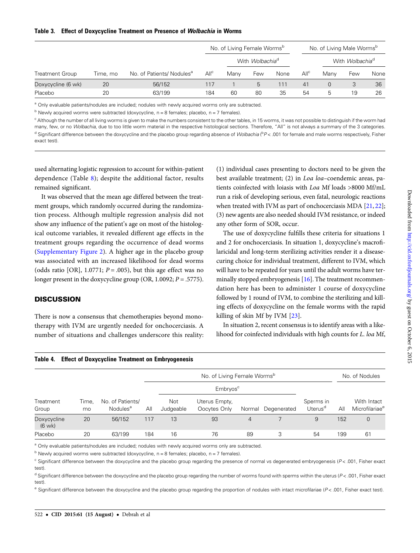## <span id="page-5-0"></span>Table 3. Effect of Doxycycline Treatment on Presence of Wolbachia in Worms

|                    |          |                                       |                  | No. of Living Female Worms <sup>b</sup> |     |      |                  | No. of Living Male Worms <sup>b</sup> |     |      |
|--------------------|----------|---------------------------------------|------------------|-----------------------------------------|-----|------|------------------|---------------------------------------|-----|------|
|                    |          |                                       | All <sup>c</sup> | With Wolbachia <sup>d</sup>             |     |      |                  | With <i>Wolbachia</i> <sup>d</sup>    |     |      |
| Treatment Group    | Time, mo | No. of Patients/ Nodules <sup>a</sup> |                  | Many                                    | Few | None | All <sup>c</sup> | Many                                  | Few | None |
| Doxycycline (6 wk) | 20       | 56/152                                | 117              |                                         | 5   | 111  | 41               | $\Omega$                              | 3   | 36   |
| Placebo            | 20       | 63/199                                | 184              | 60                                      | 80  | 35   | 54               | b                                     | 19  | 26   |

<sup>a</sup> Only evaluable patients/nodules are included; nodules with newly acquired worms only are subtracted.

 $b$  Newly acquired worms were subtracted (doxycycline,  $n = 8$  females; placebo,  $n = 7$  females).

<sup>c</sup> Although the number of all living worms is given to make the numbers consistent to the other tables, in 15 worms, it was not possible to distinguish if the worm had many, few, or no Wolbachia, due to too little worm material in the respective histological sections. Therefore, "All" is not always a summary of the 3 categories. d Significant difference between the doxycycline and the placebo group regarding absence of Wolbachia (PP<.001 for female and male worms respectively, Fisher exact test).

used alternating logistic regression to account for within-patient dependence (Table [8](#page-8-0)); despite the additional factor, results remained significant.

It was observed that the mean age differed between the treatment groups, which randomly occurred during the randomization process. Although multiple regression analysis did not show any influence of the patient's age on most of the histological outcome variables, it revealed different age effects in the treatment groups regarding the occurrence of dead worms [\(Supplementary Figure 2\)](http://cid.oxfordjournals.org/lookup/suppl/doi:10.1093/cid/civ363/-/DC1). A higher age in the placebo group was associated with an increased likelihood for dead worms (odds ratio [OR], 1.0771;  $P = .005$ ), but this age effect was no longer present in the doxycycline group (OR, 1.0092;  $P = .5775$ ).

# **DISCUSSION**

There is now a consensus that chemotherapies beyond monotherapy with IVM are urgently needed for onchocerciasis. A number of situations and challenges underscore this reality:

Table 4. Effect of Doxycycline Treatment on Embryogenesis

(1) individual cases presenting to doctors need to be given the best available treatment; (2) in Loa loa–coendemic areas, patients coinfected with loiasis with Loa Mf loads >8000 Mf/mL run a risk of developing serious, even fatal, neurologic reactions when treated with IVM as part of onchocerciasis MDA [[21,](#page-9-0) [22\]](#page-9-0); (3) new agents are also needed should IVM resistance, or indeed any other form of SOR, occur.

The use of doxycycline fulfills these criteria for situations 1 and 2 for onchocerciasis. In situation 1, doxycycline's macrofilaricidal and long-term sterilizing activities render it a diseasecuring choice for individual treatment, different to IVM, which will have to be repeated for years until the adult worms have terminally stopped embryogenesis [\[16\]](#page-9-0). The treatment recommendation here has been to administer 1 course of doxycycline followed by 1 round of IVM, to combine the sterilizing and killing effects of doxycycline on the female worms with the rapid killing of skin Mf by IVM [\[23](#page-9-0)].

In situation 2, recent consensus is to identify areas with a likelihood for coinfected individuals with high counts for L. loa Mf,

|                                 |             |                                          |     |                  | No. of Nodules                          |                |             |                                  |     |                                           |
|---------------------------------|-------------|------------------------------------------|-----|------------------|-----------------------------------------|----------------|-------------|----------------------------------|-----|-------------------------------------------|
| Treatment<br>Group              |             |                                          |     |                  |                                         |                |             |                                  |     |                                           |
|                                 | Time,<br>mo | No. of Patients/<br>Nodules <sup>a</sup> | All | Not<br>Judgeable | Uterus Empty,<br>Oocytes Only<br>Normal |                | Degenerated | Sperms in<br>Uterus <sup>d</sup> | All | With Intact<br>Microfilariae <sup>e</sup> |
| Doxycycline<br>$(6 \text{ wk})$ | 20          | 56/152                                   | 117 | 13               | 93                                      | $\overline{4}$ |             | 9                                | 152 | $\overline{0}$                            |
| Placebo                         | 20          | 63/199                                   | 184 | 16               | 76                                      | 89             | 3           | 54                               | 199 | 61                                        |

<sup>a</sup> Only evaluable patients/nodules are included; nodules with newly acquired worms only are subtracted.

 $<sup>b</sup>$  Newly acquired worms were subtracted (doxycycline, n = 8 females; placebo, n = 7 females).</sup>

<sup>c</sup> Significant difference between the doxycycline and the placebo group regarding the presence of normal vs degenerated embryogenesis (P < .001, Fisher exact test)

 $d$  Significant difference between the doxycycline and the placebo group regarding the number of worms found with sperms within the uterus ( $P$  < .001, Fisher exact test).

e Significant difference between the doxycycline and the placebo group regarding the proportion of nodules with intact microfilariae (P < .001, Fisher exact test).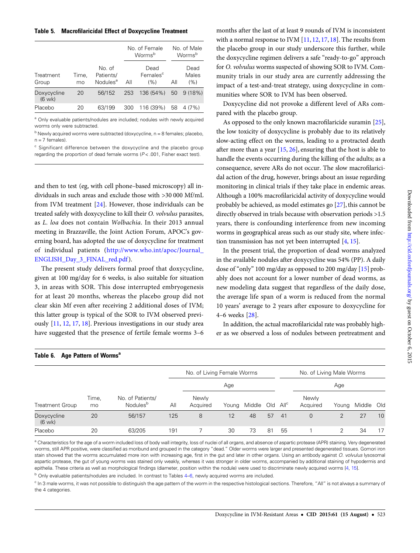#### <span id="page-6-0"></span>Table 5. Macrofilaricidal Effect of Doxycycline Treatment

|                                 |             |                                             |     | No. of Female<br>Worms <sup>b</sup> |     | No. of Male<br>Worms <sup>b</sup> |  |  |
|---------------------------------|-------------|---------------------------------------------|-----|-------------------------------------|-----|-----------------------------------|--|--|
| Treatment<br>Group              | Time,<br>mo | No. of<br>Patients/<br>Nodules <sup>a</sup> | All | Dead<br>Females <sup>c</sup><br>(%) | All | Dead<br>Males<br>(%)              |  |  |
| Doxycycline<br>$(6 \text{ wk})$ | 20          | 56/152                                      | 253 | 136 (54%)                           | 50  | 9 (18%)                           |  |  |
| Placebo                         | 20          | 63/199                                      | 300 | 116 (39%)                           | 58  | 4(7%)                             |  |  |

<sup>a</sup> Only evaluable patients/nodules are included; nodules with newly acquired worms only were subtracted.

 $b$  Newly acquired worms were subtracted (doxycycline,  $n = 8$  females; placebo,  $n = 7$  females).

<sup>c</sup> Significant difference between the doxycycline and the placebo group regarding the proportion of dead female worms  $(P < .001$ , Fisher exact test).

and then to test (eg, with cell phone–based microscopy) all individuals in such areas and exclude those with >30 000 Mf/mL from IVM treatment [\[24\]](#page-9-0). However, those individuals can be treated safely with doxycycline to kill their O. volvulus parasites, as L. loa does not contain Wolbachia. In their 2013 annual meeting in Brazzaville, the Joint Action Forum, APOC's governing board, has adopted the use of doxycycline for treatment of individual patients ([http://www.who.int/apoc/Journal\\_](http://www.who.int/apoc/Journal_ENGLISH_Day_3_FINAL_red.pdf) [ENGLISH\\_Day\\_3\\_FINAL\\_red.pdf](http://www.who.int/apoc/Journal_ENGLISH_Day_3_FINAL_red.pdf)).

The present study delivers formal proof that doxycycline, given at 100 mg/day for 6 weeks, is also suitable for situation 3, in areas with SOR. This dose interrupted embryogenesis for at least 20 months, whereas the placebo group did not clear skin Mf even after receiving 2 additional doses of IVM; this latter group is typical of the SOR to IVM observed previously [\[11](#page-9-0), [12,](#page-9-0) [17](#page-9-0), [18\]](#page-9-0). Previous investigations in our study area have suggested that the presence of fertile female worms 3–6

months after the last of at least 9 rounds of IVM is inconsistent with a normal response to IVM [\[11](#page-9-0), [12,](#page-9-0) [17](#page-9-0), [18\]](#page-9-0). The results from the placebo group in our study underscore this further, while the doxycycline regimen delivers a safe "ready-to-go" approach for O. volvulus worms suspected of showing SOR to IVM. Community trials in our study area are currently addressing the impact of a test-and-treat strategy, using doxycycline in communities where SOR to IVM has been observed.

Doxycycline did not provoke a different level of ARs compared with the placebo group.

As opposed to the only known macrofilaricide suramin [\[25\]](#page-9-0), the low toxicity of doxycycline is probably due to its relatively slow-acting effect on the worms, leading to a protracted death after more than a year [[15,](#page-9-0) [26\]](#page-9-0), ensuring that the host is able to handle the events occurring during the killing of the adults; as a consequence, severe ARs do not occur. The slow macrofilaricidal action of the drug, however, brings about an issue regarding monitoring in clinical trials if they take place in endemic areas. Although a 100% macrofilaricidal activity of doxycycline would probably be achieved, as model estimates go [\[27](#page-9-0)], this cannot be directly observed in trials because with observation periods >1.5 years, there is confounding interference from new incoming worms in geographical areas such as our study site, where infection transmission has not yet been interrupted [\[4,](#page-9-0) [15\]](#page-9-0).

In the present trial, the proportion of dead worms analyzed in the available nodules after doxycycline was 54% (PP). A daily dose of "only" 100 mg/day as opposed to 200 mg/day [\[15](#page-9-0)] probably does not account for a lower number of dead worms, as new modeling data suggest that regardless of the daily dose, the average life span of a worm is reduced from the normal 10 years' average to 2 years after exposure to doxycycline for 4–6 weeks [\[28](#page-9-0)].

In addition, the actual macrofilaricidal rate was probably higher as we observed a loss of nodules between pretreatment and

| Table 6.<br>Age Pattern of Worms <sup>a</sup> |             |                                          |     |                            |       |            |    |                  |                          |       |        |     |
|-----------------------------------------------|-------------|------------------------------------------|-----|----------------------------|-------|------------|----|------------------|--------------------------|-------|--------|-----|
|                                               |             |                                          |     | No. of Living Female Worms |       |            |    |                  | No. of Living Male Worms |       |        |     |
| Treatment Group                               |             |                                          |     | Age                        |       |            |    |                  | Age                      |       |        |     |
|                                               | Time,<br>mo | No. of Patients/<br>Nodules <sup>b</sup> | All | Newly<br>Acquired          | Young | Middle Old |    | All <sup>c</sup> | Newly<br>Acquired        | Young | Middle | Old |
| Doxycycline<br>$(6 \text{ wk})$               | 20          | 56/157                                   | 125 | 8                          | 12    | 48         | 57 | 41               | $\overline{0}$           | 2     | 27     | 10  |
| Placebo                                       | 20          | 63/205                                   | 191 |                            | 30    | 73         | 81 | 55               |                          | 2     | 34     | 17  |

<sup>a</sup> Characteristics for the age of a worm included loss of body wall integrity, loss of nuclei of all organs, and absence of aspartic protease (APR) staining. Very degenerated worms, still APR positive, were classified as moribund and grouped in the category "dead." Older worms were larger and presented degenerated tissues. Gomori iron stain showed that the worms accumulated more iron with increasing age, first in the gut and later in other organs. Using an antibody against O. volvulus lysosomal aspartic protease, the gut of young worms was stained only weakly, whereas it was stronger in older worms, accompanied by additional staining of hypodermis and epithelia. These criteria as well as morphological findings (diameter, position within the nodule) were used to discriminate newly acquired worms [\[4](#page-9-0), [15](#page-9-0)].

<sup>b</sup> Only evaluable patients/nodules are included. In contrast to Tables [4](#page-5-0)–6, newly acquired worms are included.

<sup>c</sup> In 3 male worms, it was not possible to distinguish the age pattern of the worm in the respective histological sections. Therefore, "All" is not always a summary of the 4 categories.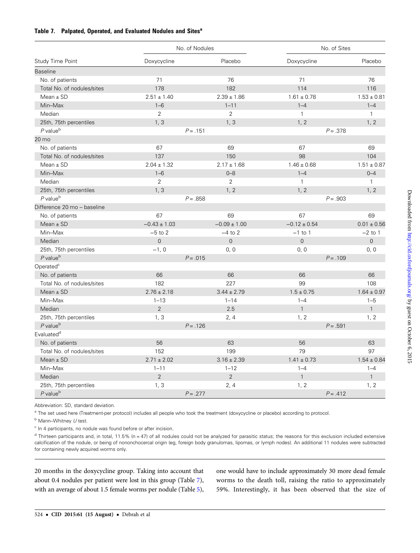## <span id="page-7-0"></span>Table 7. Palpated, Operated, and Evaluated Nodules and Sites<sup>a</sup>

|                             | No. of Nodules   |                  | No. of Sites        |                 |  |  |
|-----------------------------|------------------|------------------|---------------------|-----------------|--|--|
| Study Time Point            | Doxycycline      | Placebo          | Doxycycline         | Placebo         |  |  |
| <b>Baseline</b>             |                  |                  |                     |                 |  |  |
| No. of patients             | 71               | 76               | 71                  | 76              |  |  |
| Total No. of nodules/sites  | 178              | 182              | 114                 | 116             |  |  |
| Mean $\pm$ SD               | $2.51 \pm 1.40$  | $2.39 \pm 1.86$  | $1.61 \pm 0.78$     | $1.53 \pm 0.81$ |  |  |
| Min-Max                     | $1 - 6$          | $1 - 11$         | $1 - 4$             | $1 - 4$         |  |  |
| Median                      | 2                | $\overline{2}$   | $\mathbf{1}$        | $\mathbf{1}$    |  |  |
| 25th, 75th percentiles      | 1, 3             | 1, 3             | 1, 2                | 1, 2            |  |  |
| $P$ value <sup>b</sup>      | $P = .151$       |                  | $P = .378$          |                 |  |  |
| 20 mo                       |                  |                  |                     |                 |  |  |
| No. of patients             | 67               | 69               | 67                  | 69              |  |  |
| Total No. of nodules/sites  | 137              | 150              | 98                  | 104             |  |  |
| Mean $\pm$ SD               | $2.04 \pm 1.32$  | $2.17 \pm 1.68$  | $1.46 \pm 0.68$     | $1.51 \pm 0.87$ |  |  |
| Min-Max                     | $1 - 6$          | $0 - 8$          | $1 - 4$             | $0 - 4$         |  |  |
| Median                      | 2                | $\overline{2}$   | $\mathbf{1}$        | $\mathbf{1}$    |  |  |
| 25th, 75th percentiles      | 1, 3             | 1, 2             | 1, 2                | 1.2             |  |  |
| $P$ value <sup>b</sup>      | $P = .858$       |                  | $P = .903$          |                 |  |  |
| Difference 20 mo - baseline |                  |                  |                     |                 |  |  |
| No. of patients             | 67               | 69               | 67                  | 69              |  |  |
| $Mean \pm SD$               | $-0.43 \pm 1.03$ | $-0.09 \pm 1.00$ | $-0.12 \pm 0.54$    | $0.01 \pm 0.56$ |  |  |
| Min-Max                     | $-5$ to 2        | $-4$ to 2        | $-1$ to 1           | $-2$ to 1       |  |  |
| Median                      | $\overline{0}$   | $\overline{0}$   | $\mathsf{O}\xspace$ | $\Omega$        |  |  |
| 25th, 75th percentiles      | $-1, 0$          | 0, 0             | 0, 0                | 0, 0            |  |  |
| $P$ value $b$               | $P = .015$       |                  | $P = .109$          |                 |  |  |
| Operated <sup>c</sup>       |                  |                  |                     |                 |  |  |
| No. of patients             | 66               | 66               | 66                  | 66              |  |  |
| Total No. of nodules/sites  | 182              | 227              | 99                  | 108             |  |  |
| Mean $\pm$ SD               | $2.76 \pm 2.18$  | $3.44 \pm 2.79$  | $1.5 \pm 0.75$      | $1.64 \pm 0.97$ |  |  |
| Min-Max                     | $1 - 13$         | $1 - 14$         | $1 - 4$             | $1 - 5$         |  |  |
| Median                      | $\overline{2}$   | 2.5              | $\mathbf{1}$        | $\mathbf{1}$    |  |  |
| 25th, 75th percentiles      | 1, 3             | 2, 4             | 1, 2                | 1, 2            |  |  |
| $P$ value <sup>b</sup>      | $P = .126$       |                  | $P = .591$          |                 |  |  |
| Evaluated <sup>d</sup>      |                  |                  |                     |                 |  |  |
| No. of patients             | 56               | 63               | 56                  | 63              |  |  |
| Total No. of nodules/sites  | 152              | 199              | 79                  | 97              |  |  |
| $Mean \pm SD$               | $2.71 \pm 2.02$  | $3.16 \pm 2.39$  | $1.41 \pm 0.73$     | $1.54 \pm 0.84$ |  |  |
| Min-Max                     | $1 - 11$         | $1 - 12$         | $1 - 4$             | $1 - 4$         |  |  |
| Median                      | $\overline{2}$   | $\overline{2}$   | $\mathbf{1}$        | $\mathbf{1}$    |  |  |
| 25th, 75th percentiles      | 1, 3             | 2, 4             | 1, 2                | 1, 2            |  |  |
| $P$ value <sup>b</sup>      | $P = .277$       |                  | $P = .412$          |                 |  |  |

Abbreviation: SD, standard deviation.

a The set used here (Treatment-per protocol) includes all people who took the treatment (doxycycline or placebo) according to protocol.

 $<sup>b</sup>$  Mann–Whitney  $U$  test.</sup>

 $\textdegree$  In 4 participants, no nodule was found before or after incision.

 $d$  Thirteen participants and, in total, 11.5% (n = 47) of all nodules could not be analyzed for parasitic status; the reasons for this exclusion included extensive calcification of the nodule, or being of nononchocercal origin (eg, foreign body granulomas, lipomas, or lymph nodes). An additional 11 nodules were subtracted for containing newly acquired worms only.

20 months in the doxycycline group. Taking into account that about 0.4 nodules per patient were lost in this group (Table 7), with an average of about 1.5 female worms per nodule (Table [5\)](#page-6-0), one would have to include approximately 30 more dead female worms to the death toll, raising the ratio to approximately 59%. Interestingly, it has been observed that the size of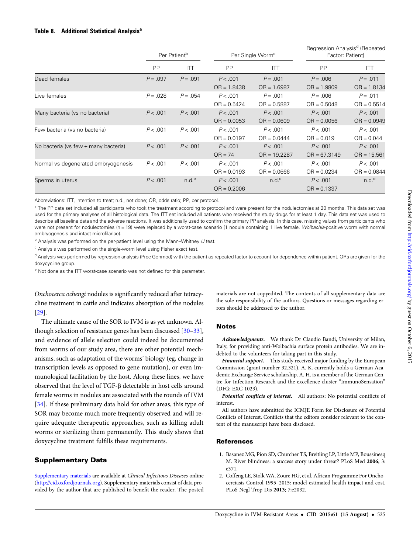<span id="page-8-0"></span>

|                                          | Per Patient <sup>b</sup> |                   |               | Per Single Worm <sup>c</sup> | Regression Analysis <sup>d</sup> (Repeated<br>Factor: Patient) |                   |  |
|------------------------------------------|--------------------------|-------------------|---------------|------------------------------|----------------------------------------------------------------|-------------------|--|
|                                          | PP                       | ITT               | <b>PP</b>     | <b>ITT</b>                   | <b>PP</b>                                                      | <b>ITT</b>        |  |
| Dead females                             | $P = .097$               | $P = .091$        | P < .001      | $P = .001$                   | $P = .006$                                                     | $P = .011$        |  |
|                                          |                          |                   | $OR = 1.8438$ | $OR = 1.6987$                | $OR = 1.9809$                                                  | $OR = 1.8134$     |  |
| Live females                             | $P = .028$               | $P = .054$        | P < .001      | $P = .001$                   | $P = .006$                                                     | $P = .011$        |  |
|                                          |                          |                   | $OR = 0.5424$ | $OR = 0.5887$                | $OR = 0.5048$                                                  | $OR = 0.5514$     |  |
| Many bacteria (vs no bacteria)           | P < .001                 | P < .001          | P < .001      | P < .001                     | P < .001                                                       | P < .001          |  |
|                                          |                          |                   | $OR = 0.0053$ | $OR = 0.0609$                | $OR = 0.0056$                                                  | $OR = 0.0949$     |  |
| Few bacteria (vs no bacteria)            | P < .001                 | P < .001          | P < .001      | P < .001                     | P < .001                                                       | P < .001          |  |
|                                          |                          |                   | $OR = 0.0197$ | $OR = 0.0444$                | $OR = 0.019$                                                   | $OR = 0.044$      |  |
| No bacteria (vs few $\pm$ many bacteria) | P < .001                 | P < .001          | P < .001      | P < .001                     | P < .001                                                       | P < .001          |  |
|                                          |                          |                   | $OR = 74$     | $OR = 19.2287$               | $OR = 67.3149$                                                 | $OR = 15.561$     |  |
| Normal vs degenerated embryogenesis      | P < .001                 | P < .001          | P < .001      | P < .001                     | P < .001                                                       | P < .001          |  |
|                                          |                          |                   | $OR = 0.0193$ | $OR = 0.0666$                | $OR = 0.0234$                                                  | $OR = 0.0844$     |  |
| Sperms in uterus                         | P < .001                 | n.d. <sup>e</sup> | P < .001      | n.d. <sup>e</sup>            | P < .001                                                       | n.d. <sup>e</sup> |  |
|                                          |                          |                   | $OR = 0.2006$ |                              | $OR = 0.1337$                                                  |                   |  |

Abbreviations: ITT, intention to treat; n.d., not done; OR, odds ratio; PP, per protocol.

<sup>a</sup> The PP data set included all participants who took the treatment according to protocol and were present for the nodulectomies at 20 months. This data set was used for the primary analyses of all histological data. The ITT set included all patients who received the study drugs for at least 1 day. This data set was used to describe all baseline data and the adverse reactions. It was additionally used to confirm the primary PP analysis. In this case, missing values from participants who were not present for nodulectomies (n = 19) were replaced by a worst-case scenario (1 nodule containing 1 live female, Wolbachia-positive worm with normal embryogenesis and intact microfilariae).

 $<sup>b</sup>$  Analysis was performed on the per-patient level using the Mann–Whitney  $U$  test.</sup>

<sup>c</sup> Analysis was performed on the single-worm level using Fisher exact test.

<sup>d</sup> Analysis was performed by regression analysis (Proc Genmod) with the patient as repeated factor to account for dependence within patient. ORs are given for the doxycycline group.

<sup>e</sup> Not done as the ITT worst-case scenario was not defined for this parameter.

Onchocerca ochengi nodules is significantly reduced after tetracycline treatment in cattle and indicates absorption of the nodules [\[29](#page-9-0)].

The ultimate cause of the SOR to IVM is as yet unknown. Although selection of resistance genes has been discussed [\[30](#page-9-0)–[33\]](#page-9-0), and evidence of allele selection could indeed be documented from worms of our study area, there are other potential mechanisms, such as adaptation of the worms' biology (eg, change in transcription levels as opposed to gene mutation), or even immunological facilitation by the host. Along these lines, we have observed that the level of TGF-β detectable in host cells around female worms in nodules are associated with the rounds of IVM [\[34](#page-9-0)]. If these preliminary data hold for other areas, this type of SOR may become much more frequently observed and will require adequate therapeutic approaches, such as killing adult worms or sterilizing them permanently. This study shows that doxycycline treatment fulfills these requirements.

## Supplementary Data

[Supplementary materials](http://cid.oxfordjournals.org/lookup/suppl/doi:10.1093/cid/civ363/-/DC1) are available at Clinical Infectious Diseases online (<http://cid.oxfordjournals.org>). Supplementary materials consist of data provided by the author that are published to benefit the reader. The posted materials are not copyedited. The contents of all supplementary data are the sole responsibility of the authors. Questions or messages regarding errors should be addressed to the author.

#### **Notes**

Acknowledgments. We thank Dr Claudio Bandi, University of Milan, Italy, for providing anti-Wolbachia surface protein antibodies. We are indebted to the volunteers for taking part in this study.

Financial support. This study received major funding by the European Commission (grant number 32.321). A. K. currently holds a German Academic Exchange Service scholarship. A. H. is a member of the German Centre for Infection Research and the excellence cluster "ImmunoSensation" (DFG: EXC 1023).

Potential conflicts of interest. All authors: No potential conflicts of interest.

All authors have submitted the ICMJE Form for Disclosure of Potential Conflicts of Interest. Conflicts that the editors consider relevant to the content of the manuscript have been disclosed.

## **References**

- 1. Basanez MG, Pion SD, Churcher TS, Breitling LP, Little MP, Boussinesq M. River blindness: a success story under threat? PLoS Med 2006; 3: e371.
- 2. Coffeng LE, Stolk WA, Zoure HG, et al. African Programme For Onchocerciasis Control 1995–2015: model-estimated health impact and cost. PLoS Negl Trop Dis 2013; 7:e2032.